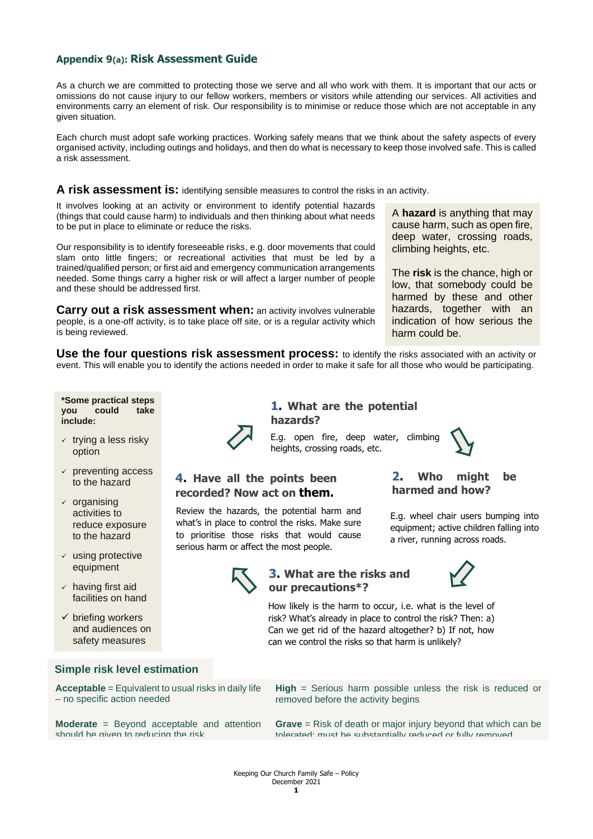## **Appendix 9(a): Risk Assessment Guide**

As a church we are committed to protecting those we serve and all who work with them. It is important that our acts or omissions do not cause injury to our fellow workers, members or visitors while attending our services. All activities and environments carry an element of risk. Our responsibility is to minimise or reduce those which are not acceptable in any given situation.

Each church must adopt safe working practices. Working safely means that we think about the safety aspects of every organised activity, including outings and holidays, and then do what is necessary to keep those involved safe. This is called a risk assessment.

#### **A risk assessment is:** identifying sensible measures to control the risks in an activity.

It involves looking at an activity or environment to identify potential hazards (things that could cause harm) to individuals and then thinking about what needs to be put in place to eliminate or reduce the risks.

Our responsibility is to identify foreseeable risks, e.g. door movements that could slam onto little fingers; or recreational activities that must be led by a trained/qualified person; or first aid and emergency communication arrangements needed. Some things carry a higher risk or will affect a larger number of people and these should be addressed first.

**Carry out a risk assessment when:** an activity involves vulnerable people, is a one-off activity, is to take place off site, or is a regular activity which is being reviewed.

A **hazard** is anything that may cause harm, such as open fire, deep water, crossing roads, climbing heights, etc.

The **risk** is the chance, high or low, that somebody could be harmed by these and other hazards, together with an indication of how serious the harm could be.

**Use the four questions risk assessment process:** to identify the risks associated with an activity or event. This will enable you to identify the actions needed in order to make it safe for all those who would be participating.

**\*Some practical steps**  could take **include:**

- $\times$  trying a less risky option
- $\checkmark$  preventing access to the hazard
- $\times$  organising activities to reduce exposure to the hazard
- $\checkmark$  using protective equipment
- $\checkmark$  having first aid facilities on hand
- $\checkmark$  briefing workers and audiences on safety measures

### **Simple risk level estimation**

**Acceptable** = Equivalent to usual risks in daily life – no specific action needed

**Moderate** = Beyond acceptable and attention should be given to reducing the risk



**1. What are the potential hazards?**

E.g. open fire, deep water, climbing heights, crossing roads, etc.

## **4. Have all the points been recorded? Now act on them.**

Review the hazards, the potential harm and what's in place to control the risks. Make sure to prioritise those risks that would cause serious harm or affect the most people.

# **2. Who might be harmed and how?**

E.g. wheel chair users bumping into equipment; active children falling into a river, running across roads.



## **3. What are the risks and our precautions\*?**



How likely is the harm to occur, i.e. what is the level of risk? What's already in place to control the risk? Then: a) Can we get rid of the hazard altogether? b) If not, how can we control the risks so that harm is unlikely?

**High** = Serious harm possible unless the risk is reduced or removed before the activity begins

**Grave** = Risk of death or major injury beyond that which can be tolerated; must be substantially reduced or fully removed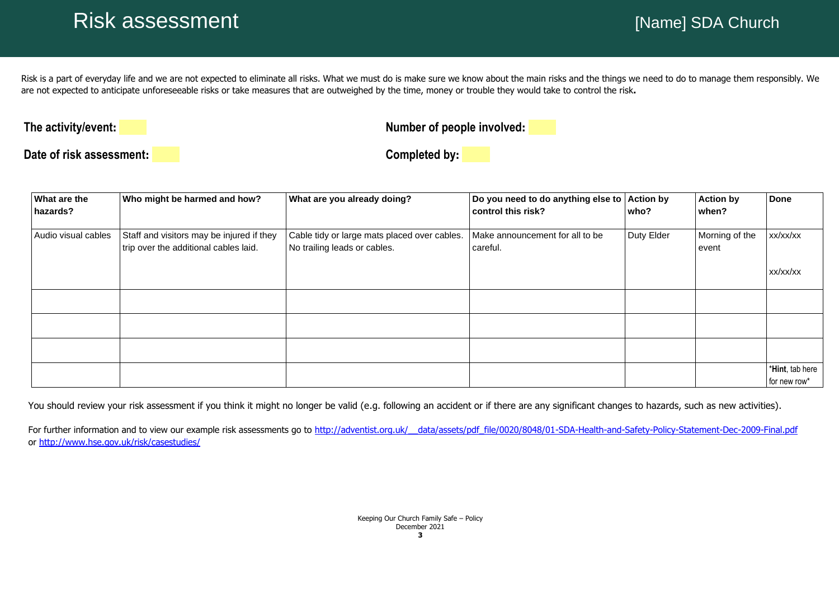Risk is a part of everyday life and we are not expected to eliminate all risks. What we must do is make sure we know about the main risks and the things we need to do to manage them responsibly. We are not expected to anticipate unforeseeable risks or take measures that are outweighed by the time, money or trouble they would take to control the risk**.**

**The activity/event:**<br> **The activity/event:**<br> **COVERTY:** 

**Date of risk assessment: Completed by:**

| <b>What are the</b><br>hazards? | Who might be harmed and how?                                                       | What are you already doing?                                                  | Do you need to do anything else to<br>control this risk? | <b>Action by</b><br>who? | <b>Action by</b><br>when? | <b>Done</b>                     |
|---------------------------------|------------------------------------------------------------------------------------|------------------------------------------------------------------------------|----------------------------------------------------------|--------------------------|---------------------------|---------------------------------|
| Audio visual cables             | Staff and visitors may be injured if they<br>trip over the additional cables laid. | Cable tidy or large mats placed over cables.<br>No trailing leads or cables. | Make announcement for all to be<br>careful.              | Duty Elder               | Morning of the<br>event   | xx/xx/xx                        |
|                                 |                                                                                    |                                                                              |                                                          |                          |                           | XX/XX/XX                        |
|                                 |                                                                                    |                                                                              |                                                          |                          |                           |                                 |
|                                 |                                                                                    |                                                                              |                                                          |                          |                           |                                 |
|                                 |                                                                                    |                                                                              |                                                          |                          |                           |                                 |
|                                 |                                                                                    |                                                                              |                                                          |                          |                           | *Hint, tab here<br>for new row* |

You should review your risk assessment if you think it might no longer be valid (e.g. following an accident or if there are any significant changes to hazards, such as new activities).

For further information and to view our example risk assessments go to http://adventist.org.uk/ data/assets/pdf file/0020/8048/01-SDA-Health-and-Safety-Policy-Statement-Dec-2009-Final.pdf or <http://www.hse.gov.uk/risk/casestudies/>